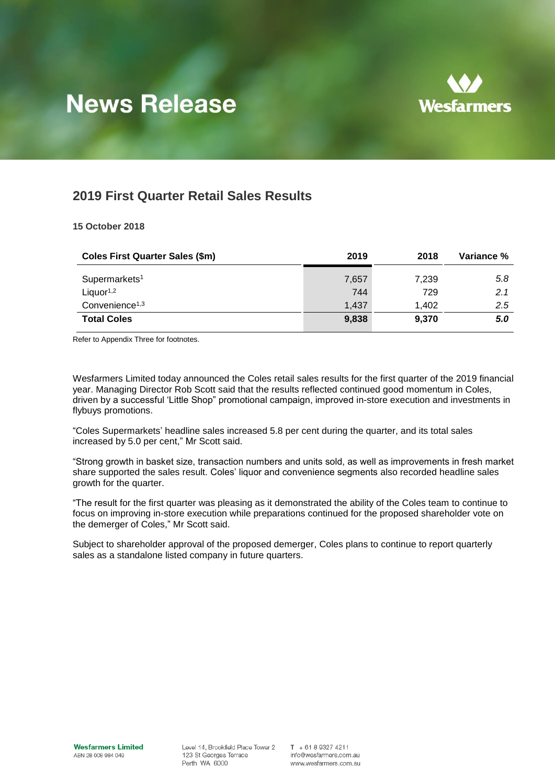

# **News Release**

# **2019 First Quarter Retail Sales Results**

### **15 October 2018**

| <b>Coles First Quarter Sales (\$m)</b> | 2019  | 2018  | Variance % |
|----------------------------------------|-------|-------|------------|
| Supermarkets <sup>1</sup>              | 7,657 | 7.239 | 5.8        |
| Liquor <sup>1,2</sup>                  | 744   | 729   | 2.1        |
| Convenience <sup>1,3</sup>             | 1,437 | 1.402 | 2.5        |
| <b>Total Coles</b>                     | 9,838 | 9,370 | 5.0        |

Refer to Appendix Three for footnotes.

Wesfarmers Limited today announced the Coles retail sales results for the first quarter of the 2019 financial year. Managing Director Rob Scott said that the results reflected continued good momentum in Coles, driven by a successful 'Little Shop" promotional campaign, improved in-store execution and investments in flybuys promotions.

"Coles Supermarkets' headline sales increased 5.8 per cent during the quarter, and its total sales increased by 5.0 per cent," Mr Scott said.

"Strong growth in basket size, transaction numbers and units sold, as well as improvements in fresh market share supported the sales result. Coles' liquor and convenience segments also recorded headline sales growth for the quarter.

"The result for the first quarter was pleasing as it demonstrated the ability of the Coles team to continue to focus on improving in-store execution while preparations continued for the proposed shareholder vote on the demerger of Coles," Mr Scott said.

Subject to shareholder approval of the proposed demerger, Coles plans to continue to report quarterly sales as a standalone listed company in future quarters.

Level 14, Brookfield Place Tower 2 123 St Georges Terrace Perth WA 6000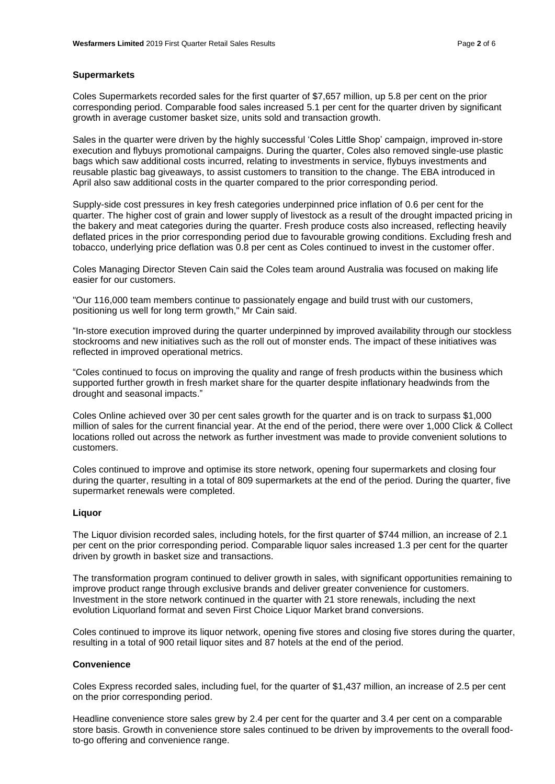#### **Supermarkets**

Coles Supermarkets recorded sales for the first quarter of \$7,657 million, up 5.8 per cent on the prior corresponding period. Comparable food sales increased 5.1 per cent for the quarter driven by significant growth in average customer basket size, units sold and transaction growth.

Sales in the quarter were driven by the highly successful 'Coles Little Shop' campaign, improved in-store execution and flybuys promotional campaigns. During the quarter, Coles also removed single-use plastic bags which saw additional costs incurred, relating to investments in service, flybuys investments and reusable plastic bag giveaways, to assist customers to transition to the change. The EBA introduced in April also saw additional costs in the quarter compared to the prior corresponding period.

Supply-side cost pressures in key fresh categories underpinned price inflation of 0.6 per cent for the quarter. The higher cost of grain and lower supply of livestock as a result of the drought impacted pricing in the bakery and meat categories during the quarter. Fresh produce costs also increased, reflecting heavily deflated prices in the prior corresponding period due to favourable growing conditions. Excluding fresh and tobacco, underlying price deflation was 0.8 per cent as Coles continued to invest in the customer offer.

Coles Managing Director Steven Cain said the Coles team around Australia was focused on making life easier for our customers.

"Our 116,000 team members continue to passionately engage and build trust with our customers, positioning us well for long term growth," Mr Cain said.

"In-store execution improved during the quarter underpinned by improved availability through our stockless stockrooms and new initiatives such as the roll out of monster ends. The impact of these initiatives was reflected in improved operational metrics.

"Coles continued to focus on improving the quality and range of fresh products within the business which supported further growth in fresh market share for the quarter despite inflationary headwinds from the drought and seasonal impacts."

Coles Online achieved over 30 per cent sales growth for the quarter and is on track to surpass \$1,000 million of sales for the current financial year. At the end of the period, there were over 1,000 Click & Collect locations rolled out across the network as further investment was made to provide convenient solutions to customers.

Coles continued to improve and optimise its store network, opening four supermarkets and closing four during the quarter, resulting in a total of 809 supermarkets at the end of the period. During the quarter, five supermarket renewals were completed.

#### **Liquor**

The Liquor division recorded sales, including hotels, for the first quarter of \$744 million, an increase of 2.1 per cent on the prior corresponding period. Comparable liquor sales increased 1.3 per cent for the quarter driven by growth in basket size and transactions.

The transformation program continued to deliver growth in sales, with significant opportunities remaining to improve product range through exclusive brands and deliver greater convenience for customers. Investment in the store network continued in the quarter with 21 store renewals, including the next evolution Liquorland format and seven First Choice Liquor Market brand conversions.

Coles continued to improve its liquor network, opening five stores and closing five stores during the quarter, resulting in a total of 900 retail liquor sites and 87 hotels at the end of the period.

#### **Convenience**

Coles Express recorded sales, including fuel, for the quarter of \$1,437 million, an increase of 2.5 per cent on the prior corresponding period.

Headline convenience store sales grew by 2.4 per cent for the quarter and 3.4 per cent on a comparable store basis. Growth in convenience store sales continued to be driven by improvements to the overall foodto-go offering and convenience range.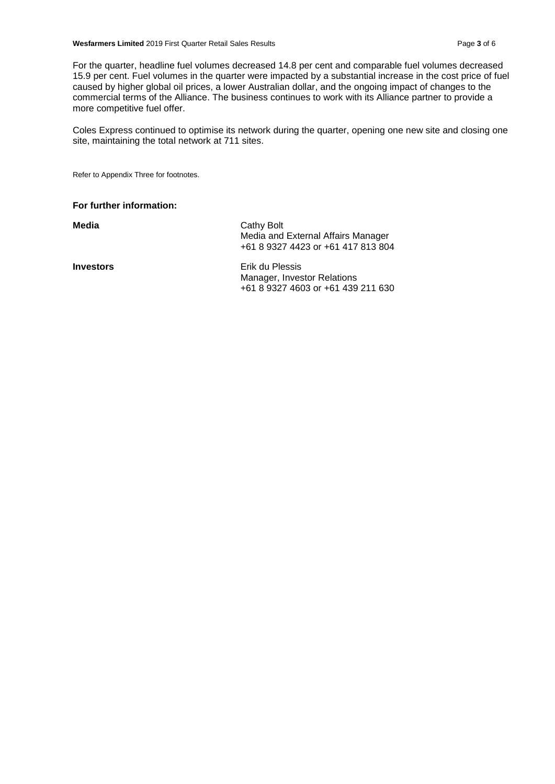For the quarter, headline fuel volumes decreased 14.8 per cent and comparable fuel volumes decreased 15.9 per cent. Fuel volumes in the quarter were impacted by a substantial increase in the cost price of fuel caused by higher global oil prices, a lower Australian dollar, and the ongoing impact of changes to the commercial terms of the Alliance. The business continues to work with its Alliance partner to provide a more competitive fuel offer.

Coles Express continued to optimise its network during the quarter, opening one new site and closing one site, maintaining the total network at 711 sites.

Refer to Appendix Three for footnotes.

#### **For further information:**

Media **Magnetic Cathy Bolt** Cathy Bolt Media and External Affairs Manager +61 8 9327 4423 or +61 417 813 804

**Investors** Erik du Plessis Manager, Investor Relations +61 8 9327 4603 or +61 439 211 630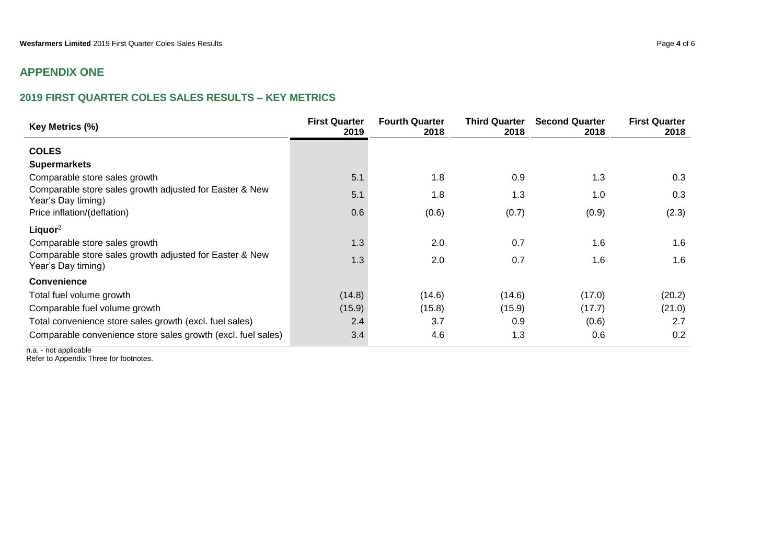# **APPENDIX ONE**

## **2019 FIRST QUARTER COLES SALES RESULTS – KEY METRICS**

| Key Metrics (%)                                                               | <b>First Quarter</b><br>2019 | <b>Fourth Quarter</b><br>2018 | <b>Third Quarter</b><br>2018 | <b>Second Quarter</b><br>2018 | <b>First Quarter</b><br>2018 |
|-------------------------------------------------------------------------------|------------------------------|-------------------------------|------------------------------|-------------------------------|------------------------------|
| <b>COLES</b>                                                                  |                              |                               |                              |                               |                              |
| <b>Supermarkets</b>                                                           |                              |                               |                              |                               |                              |
| Comparable store sales growth                                                 | 5.1                          | 1.8                           | 0.9                          | 1.3                           | 0.3                          |
| Comparable store sales growth adjusted for Easter & New<br>Year's Day timing) | 5.1                          | 1.8                           | 1.3                          | 1.0                           | 0.3                          |
| Price inflation/(deflation)                                                   | 0.6                          | (0.6)                         | (0.7)                        | (0.9)                         | (2.3)                        |
| Liquor <sup>2</sup>                                                           |                              |                               |                              |                               |                              |
| Comparable store sales growth                                                 | 1.3                          | 2.0                           | 0.7                          | 1.6                           | 1.6                          |
| Comparable store sales growth adjusted for Easter & New<br>Year's Day timing) | 1.3                          | 2.0                           | 0.7                          | 1.6                           | 1.6                          |
| Convenience                                                                   |                              |                               |                              |                               |                              |
| Total fuel volume growth                                                      | (14.8)                       | (14.6)                        | (14.6)                       | (17.0)                        | (20.2)                       |
| Comparable fuel volume growth                                                 | (15.9)                       | (15.8)                        | (15.9)                       | (17.7)                        | (21.0)                       |
| Total convenience store sales growth (excl. fuel sales)                       | 2.4                          | 3.7                           | 0.9                          | (0.6)                         | 2.7                          |
| Comparable convenience store sales growth (excl. fuel sales)                  | 3.4                          | 4.6                           | 1.3                          | 0.6                           | 0.2                          |

n.a. - not applicable Refer to Appendix Three for footnotes.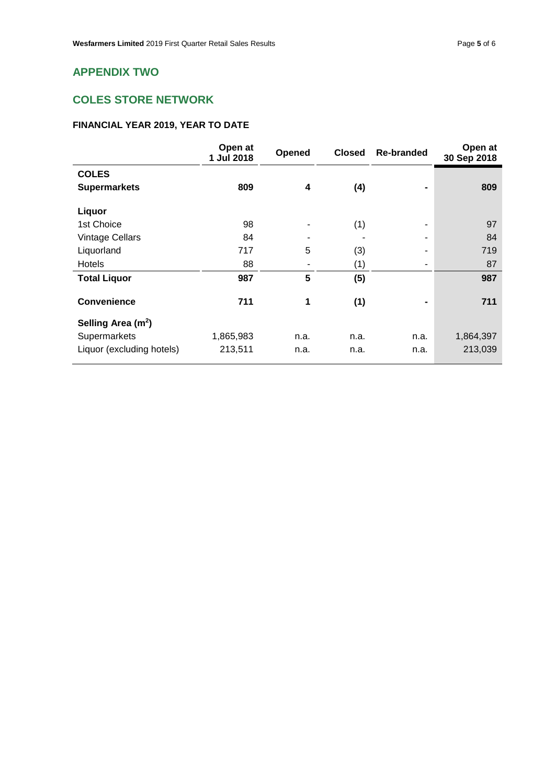# **COLES STORE NETWORK**

## **FINANCIAL YEAR 2019, YEAR TO DATE**

|                                | Open at<br>1 Jul 2018 | Opened | <b>Closed</b> | <b>Re-branded</b> | Open at<br>30 Sep 2018 |
|--------------------------------|-----------------------|--------|---------------|-------------------|------------------------|
| <b>COLES</b>                   |                       |        |               |                   |                        |
| <b>Supermarkets</b>            | 809                   | 4      | (4)           |                   | 809                    |
| Liquor                         |                       |        |               |                   |                        |
| 1st Choice                     | 98                    |        | (1)           |                   | 97                     |
| <b>Vintage Cellars</b>         | 84                    |        |               |                   | 84                     |
| Liquorland                     | 717                   | 5      | (3)           |                   | 719                    |
| <b>Hotels</b>                  | 88                    |        | (1)           |                   | 87                     |
| <b>Total Liquor</b>            | 987                   | 5      | (5)           |                   | 987                    |
| <b>Convenience</b>             | 711                   | 1      | (1)           |                   | 711                    |
| Selling Area (m <sup>2</sup> ) |                       |        |               |                   |                        |
| Supermarkets                   | 1,865,983             | n.a.   | n.a.          | n.a.              | 1,864,397              |
| Liquor (excluding hotels)      | 213,511               | n.a.   | n.a.          | n.a.              | 213,039                |